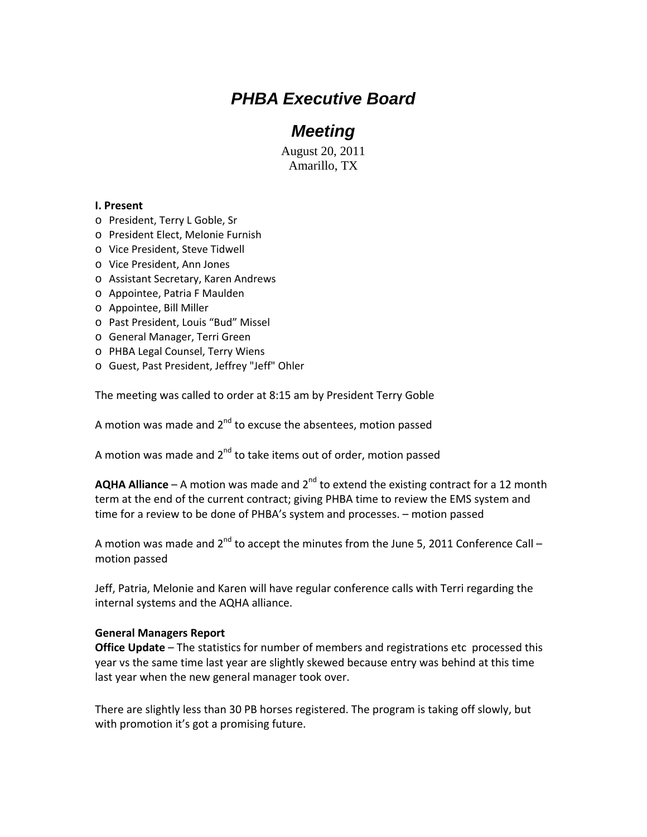# *PHBA Executive Board*

## *Meeting*

August 20, 2011 Amarillo, TX

#### **I. Present**

- o President, Terry L Goble, Sr
- o President Elect, Melonie Furnish
- o Vice President, Steve Tidwell
- o Vice President, Ann Jones
- o Assistant Secretary, Karen Andrews
- o Appointee, Patria F Maulden
- o Appointee, Bill Miller
- o Past President, Louis "Bud" Missel
- o General Manager, Terri Green
- o PHBA Legal Counsel, Terry Wiens
- o Guest, Past President, Jeffrey "Jeff" Ohler

The meeting was called to order at 8:15 am by President Terry Goble

A motion was made and  $2^{nd}$  to excuse the absentees, motion passed

A motion was made and  $2^{nd}$  to take items out of order, motion passed

**AQHA Alliance** – A motion was made and  $2^{nd}$  to extend the existing contract for a 12 month term at the end of the current contract; giving PHBA time to review the EMS system and time for a review to be done of PHBA's system and processes. – motion passed

A motion was made and  $2^{nd}$  to accept the minutes from the June 5, 2011 Conference Call – motion passed

Jeff, Patria, Melonie and Karen will have regular conference calls with Terri regarding the internal systems and the AQHA alliance.

#### **General Managers Report**

**Office Update** – The statistics for number of members and registrations etc processed this year vs the same time last year are slightly skewed because entry was behind at this time last year when the new general manager took over.

There are slightly less than 30 PB horses registered. The program is taking off slowly, but with promotion it's got a promising future.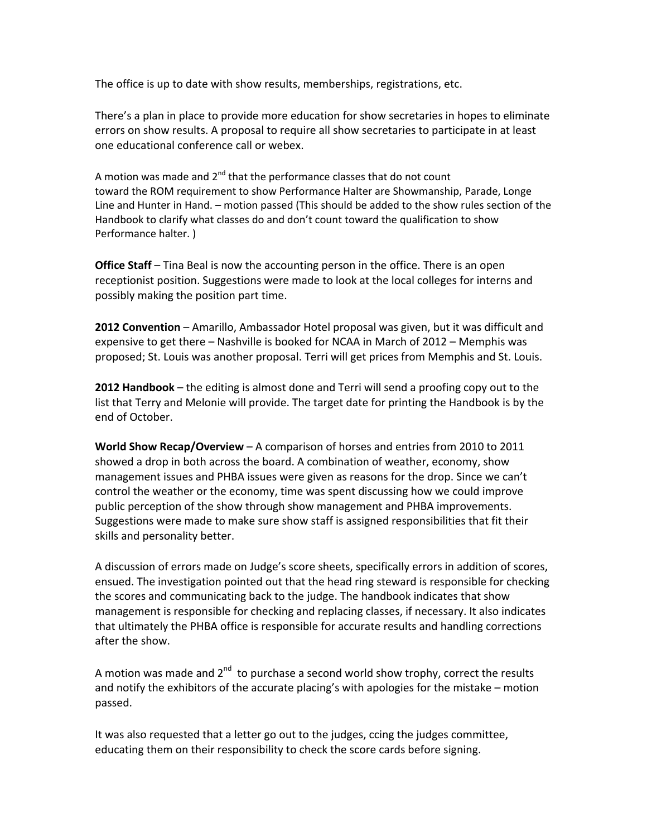The office is up to date with show results, memberships, registrations, etc.

There's a plan in place to provide more education for show secretaries in hopes to eliminate errors on show results. A proposal to require all show secretaries to participate in at least one educational conference call or webex.

A motion was made and  $2^{nd}$  that the performance classes that do not count toward the ROM requirement to show Performance Halter are Showmanship, Parade, Longe Line and Hunter in Hand. – motion passed (This should be added to the show rules section of the Handbook to clarify what classes do and don't count toward the qualification to show Performance halter. )

**Office Staff** – Tina Beal is now the accounting person in the office. There is an open receptionist position. Suggestions were made to look at the local colleges for interns and possibly making the position part time.

**2012 Convention** – Amarillo, Ambassador Hotel proposal was given, but it was difficult and expensive to get there – Nashville is booked for NCAA in March of 2012 – Memphis was proposed; St. Louis was another proposal. Terri will get prices from Memphis and St. Louis.

**2012 Handbook** – the editing is almost done and Terri will send a proofing copy out to the list that Terry and Melonie will provide. The target date for printing the Handbook is by the end of October.

**World Show Recap/Overview** – A comparison of horses and entries from 2010 to 2011 showed a drop in both across the board. A combination of weather, economy, show management issues and PHBA issues were given as reasons for the drop. Since we can't control the weather or the economy, time was spent discussing how we could improve public perception of the show through show management and PHBA improvements. Suggestions were made to make sure show staff is assigned responsibilities that fit their skills and personality better.

A discussion of errors made on Judge's score sheets, specifically errors in addition of scores, ensued. The investigation pointed out that the head ring steward is responsible for checking the scores and communicating back to the judge. The handbook indicates that show management is responsible for checking and replacing classes, if necessary. It also indicates that ultimately the PHBA office is responsible for accurate results and handling corrections after the show.

A motion was made and  $2^{nd}$  to purchase a second world show trophy, correct the results and notify the exhibitors of the accurate placing's with apologies for the mistake – motion passed.

It was also requested that a letter go out to the judges, ccing the judges committee, educating them on their responsibility to check the score cards before signing.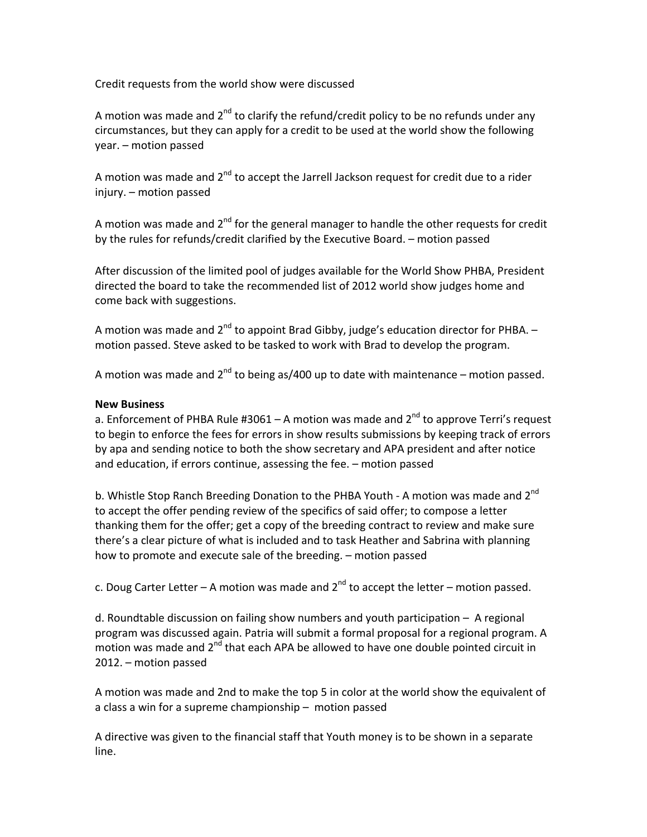Credit requests from the world show were discussed

A motion was made and  $2^{nd}$  to clarify the refund/credit policy to be no refunds under any circumstances, but they can apply for a credit to be used at the world show the following year. – motion passed

A motion was made and  $2^{nd}$  to accept the Jarrell Jackson request for credit due to a rider injury. – motion passed

A motion was made and  $2^{nd}$  for the general manager to handle the other requests for credit by the rules for refunds/credit clarified by the Executive Board. – motion passed

After discussion of the limited pool of judges available for the World Show PHBA, President directed the board to take the recommended list of 2012 world show judges home and come back with suggestions.

A motion was made and  $2^{nd}$  to appoint Brad Gibby, judge's education director for PHBA.  $$ motion passed. Steve asked to be tasked to work with Brad to develop the program.

A motion was made and  $2^{nd}$  to being as/400 up to date with maintenance – motion passed.

### **New Business**

a. Enforcement of PHBA Rule #3061 – A motion was made and  $2^{nd}$  to approve Terri's request to begin to enforce the fees for errors in show results submissions by keeping track of errors by apa and sending notice to both the show secretary and APA president and after notice and education, if errors continue, assessing the fee. – motion passed

b. Whistle Stop Ranch Breeding Donation to the PHBA Youth - A motion was made and 2<sup>nd</sup> to accept the offer pending review of the specifics of said offer; to compose a letter thanking them for the offer; get a copy of the breeding contract to review and make sure there's a clear picture of what is included and to task Heather and Sabrina with planning how to promote and execute sale of the breeding. – motion passed

c. Doug Carter Letter – A motion was made and  $2^{nd}$  to accept the letter – motion passed.

d. Roundtable discussion on failing show numbers and youth participation – A regional program was discussed again. Patria will submit a formal proposal for a regional program. A motion was made and  $2<sup>nd</sup>$  that each APA be allowed to have one double pointed circuit in 2012. – motion passed

A motion was made and 2nd to make the top 5 in color at the world show the equivalent of a class a win for a supreme championship – motion passed

A directive was given to the financial staff that Youth money is to be shown in a separate line.